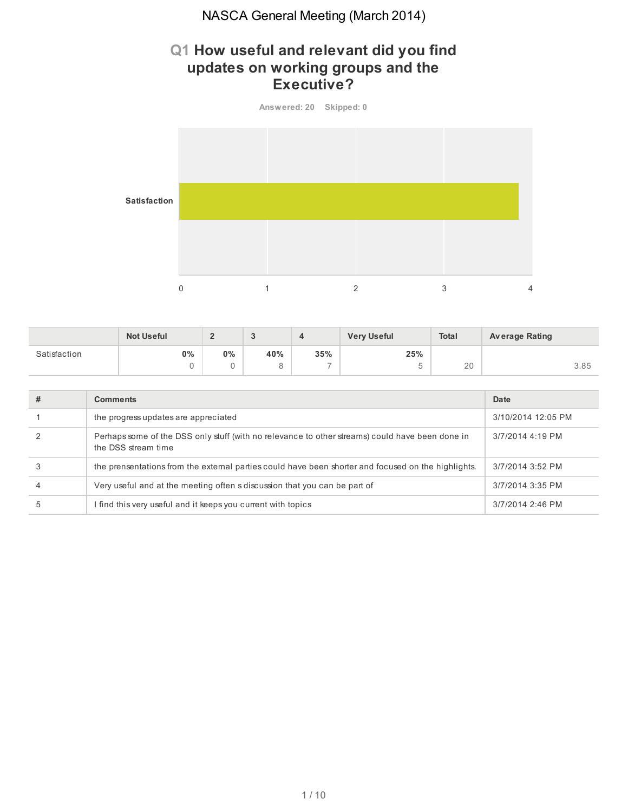# **Q1 How useful and relevant did you find updates on working groups and the Executive?**



|              | <b>Not Useful</b> |       |     |                          | <b>Very Useful</b> | Total | <b>Average Rating</b> |
|--------------|-------------------|-------|-----|--------------------------|--------------------|-------|-----------------------|
| Satisfaction | $0\%$             | $0\%$ | 40% | 35%                      | 25%                |       |                       |
|              |                   |       |     | $\overline{\phantom{a}}$ | -                  | 20    | 3.85                  |

| # | <b>Comments</b>                                                                                                        | Date               |
|---|------------------------------------------------------------------------------------------------------------------------|--------------------|
|   | the progress updates are appreciated                                                                                   | 3/10/2014 12:05 PM |
|   | Perhaps some of the DSS only stuff (with no relevance to other streams) could have been done in<br>the DSS stream time | 3/7/2014 4:19 PM   |
|   | the prensentations from the external parties could have been shorter and focused on the highlights.                    | 3/7/2014 3:52 PM   |
| 4 | Very useful and at the meeting often s discussion that you can be part of                                              | 3/7/2014 3:35 PM   |
|   | find this very useful and it keeps you current with topics                                                             | 3/7/2014 2:46 PM   |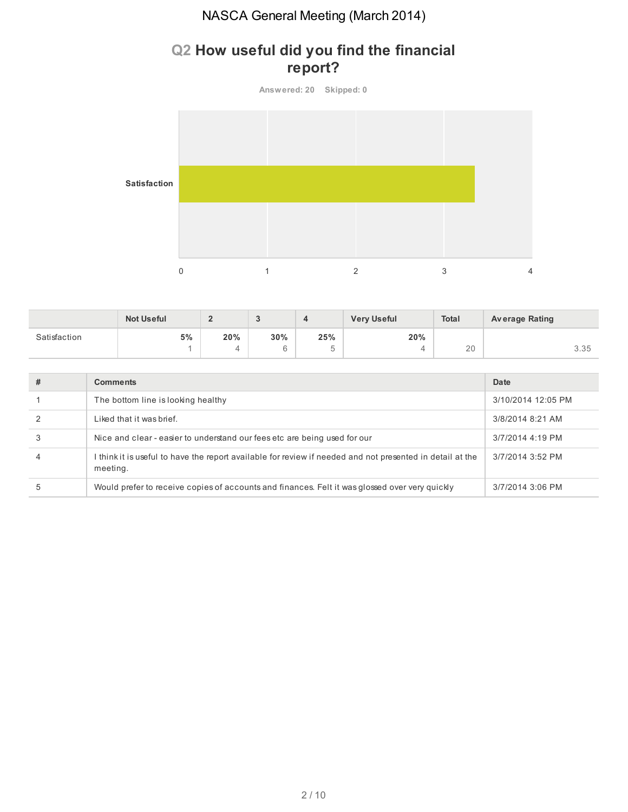# **Q2 How useful did you find the financial report?**



|              | <b>Not Useful</b> |     |     |                               | <b>Very Useful</b> | Total | <b>Average Rating</b> |
|--------------|-------------------|-----|-----|-------------------------------|--------------------|-------|-----------------------|
| Satisfaction | 5%                | 20% | 30% | 25%                           | 20%                |       |                       |
|              |                   |     | ◡   | $\overline{\phantom{a}}$<br>v | 4                  | 20    | こ こビ<br>J.JJ          |

| # | <b>Comments</b>                                                                                                       | Date               |
|---|-----------------------------------------------------------------------------------------------------------------------|--------------------|
|   | The bottom line is looking healthy                                                                                    | 3/10/2014 12:05 PM |
|   | Liked that it was brief.                                                                                              | 3/8/2014 8:21 AM   |
|   | Nice and clear - easier to understand our fees etc are being used for our                                             | 3/7/2014 4:19 PM   |
| 4 | I think it is useful to have the report available for review if needed and not presented in detail at the<br>meeting. | 3/7/2014 3:52 PM   |
| 5 | Would prefer to receive copies of accounts and finances. Felt it was glossed over very quickly                        | 3/7/2014 3:06 PM   |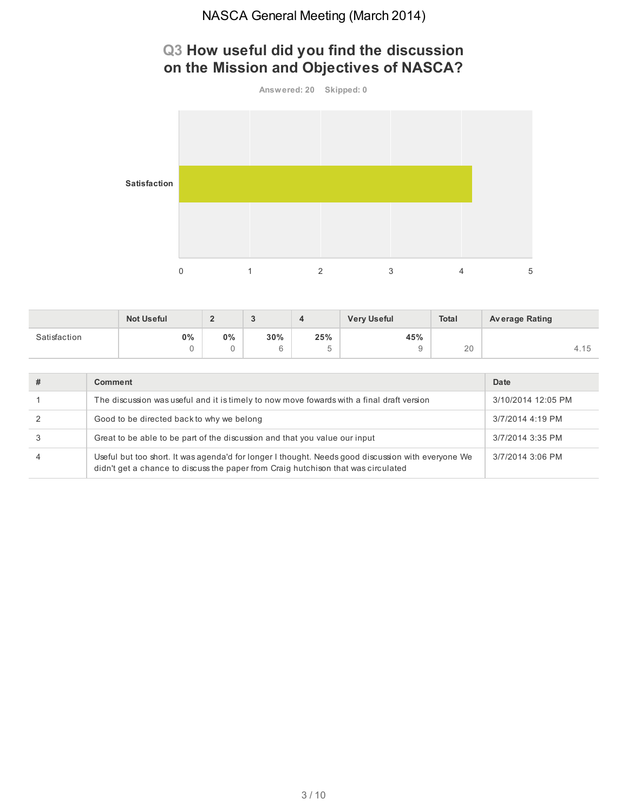# **Q3 How useful did you find the discussion on the Mission and Objectives of NASCA?**



|              | <b>Not Useful</b> | -     | u   |     | <b>Very Useful</b> | <b>Total</b> | <b>Average Rating</b> |
|--------------|-------------------|-------|-----|-----|--------------------|--------------|-----------------------|
| Satisfaction | 0%                | $0\%$ | 30% | 25% | 45%                |              |                       |
|              |                   |       |     |     |                    | $\cap$<br>ZU | 4.15                  |

| # | Comment                                                                                                                                                                                 | Date               |
|---|-----------------------------------------------------------------------------------------------------------------------------------------------------------------------------------------|--------------------|
|   | The discussion was useful and it is timely to now move fowards with a final draft version                                                                                               | 3/10/2014 12:05 PM |
|   | Good to be directed back to why we belong                                                                                                                                               | 3/7/2014 4:19 PM   |
|   | Great to be able to be part of the discussion and that you value our input                                                                                                              | 3/7/2014 3:35 PM   |
| 4 | Useful but too short. It was agenda'd for longer I thought. Needs good discussion with everyone We<br>didn't get a chance to discuss the paper from Craig hutchison that was circulated | 3/7/2014 3:06 PM   |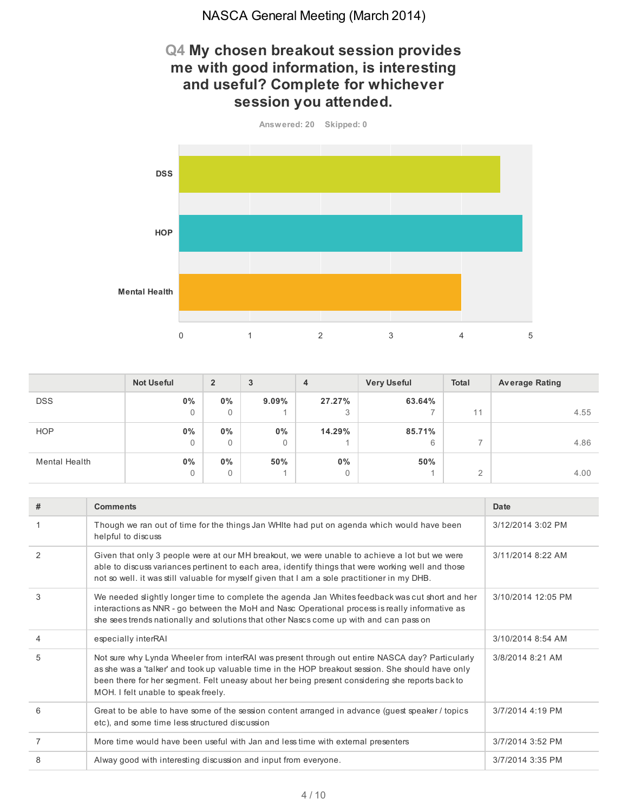## **Q4 My chosen breakout session provides me with good information, is interesting and useful? Complete for whichever session you attended.**



|                      | <b>Not Useful</b> | $\overline{2}$ | 3        | $\overline{4}$ | <b>Very Useful</b> | <b>Total</b>  | <b>Average Rating</b> |
|----------------------|-------------------|----------------|----------|----------------|--------------------|---------------|-----------------------|
| <b>DSS</b>           | $0\%$             | $0\%$          | $9.09\%$ | 27.27%         | 63.64%             |               |                       |
|                      | 0                 | 0              |          | 3              |                    | 11            | 4.55                  |
| <b>HOP</b>           | $0\%$             | $0\%$          | $0\%$    | 14.29%         | 85.71%             |               |                       |
|                      | 0                 | $\mathbf{0}$   | 0        |                | 6                  |               | 4.86                  |
| <b>Mental Health</b> | $0\%$             | $0\%$          | 50%      | $0\%$          | 50%                |               |                       |
|                      | 0                 | 0              |          | 0              |                    | $\Omega$<br>∠ | 4.00                  |

| #              | <b>Comments</b>                                                                                                                                                                                                                                                                                                                                | Date               |
|----------------|------------------------------------------------------------------------------------------------------------------------------------------------------------------------------------------------------------------------------------------------------------------------------------------------------------------------------------------------|--------------------|
|                | Though we ran out of time for the things Jan WHIte had put on agenda which would have been<br>helpful to discuss                                                                                                                                                                                                                               | 3/12/2014 3:02 PM  |
| 2              | Given that only 3 people were at our MH breakout, we were unable to achieve a lot but we were<br>able to discuss variances pertinent to each area, identify things that were working well and those<br>not so well, it was still valuable for myself given that I am a sole practitioner in my DHB.                                            | 3/11/2014 8:22 AM  |
| 3              | We needed slightly longer time to complete the agenda Jan Whites feedback was cut short and her<br>interactions as NNR - go between the MoH and Nasc Operational process is really informative as<br>she sees trends nationally and solutions that other Nascs come up with and can pass on                                                    | 3/10/2014 12:05 PM |
| $\overline{4}$ | especially interRAI                                                                                                                                                                                                                                                                                                                            | 3/10/2014 8:54 AM  |
| 5              | Not sure why Lynda Wheeler from interRAI was present through out entire NASCA day? Particularly<br>as she was a 'talker' and took up valuable time in the HOP breakout session. She should have only<br>been there for her segment. Felt uneasy about her being present considering she reports back to<br>MOH. I felt unable to speak freely. | 3/8/2014 8:21 AM   |
| 6              | Great to be able to have some of the session content arranged in advance (quest speaker / topics<br>etc), and some time less structured discussion                                                                                                                                                                                             | 3/7/2014 4:19 PM   |
| 7              | More time would have been useful with Jan and less time with external presenters                                                                                                                                                                                                                                                               | 3/7/2014 3:52 PM   |
| 8              | Alway good with interesting discussion and input from everyone.                                                                                                                                                                                                                                                                                | 3/7/2014 3:35 PM   |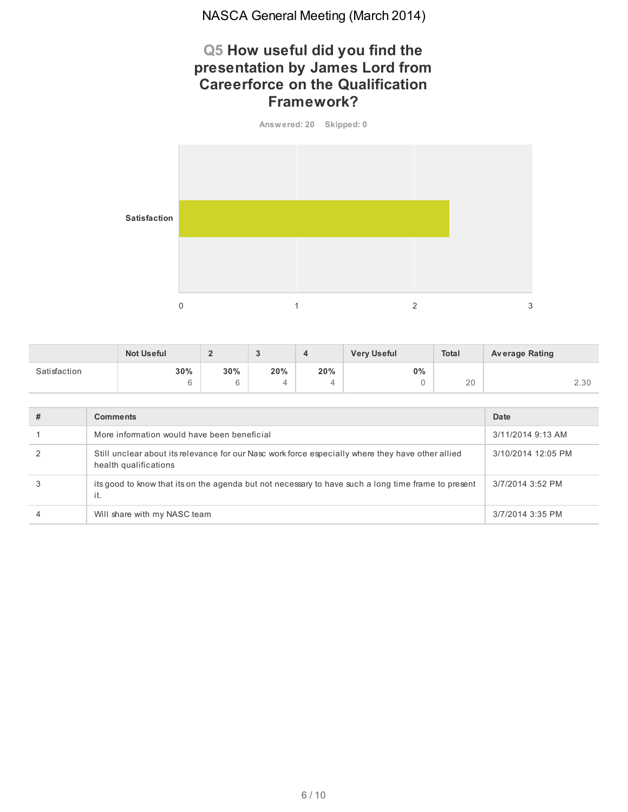## **Q5 How useful did you find the presentation by James Lord from Careerforce on the Qualification Framework?**



|              | <b>Not Useful</b> | $\sim$<br>- | u   |     | <b>Very Useful</b> | Total | <b>Average Rating</b> |
|--------------|-------------------|-------------|-----|-----|--------------------|-------|-----------------------|
| Satisfaction | 30%               | 30%         | 20% | 20% | $0\%$              |       |                       |
|              |                   | R           | ᅭ   | 4   |                    | 20    | 2.30                  |

| # | <b>Comments</b>                                                                                                            | Date               |
|---|----------------------------------------------------------------------------------------------------------------------------|--------------------|
|   | More information would have been beneficial                                                                                | 3/11/2014 9:13 AM  |
|   | Still unclear about its relevance for our Nasc work force especially where they have other allied<br>health qualifications | 3/10/2014 12:05 PM |
|   | its good to know that its on the agenda but not necessary to have such a long time frame to present<br>it.                 | 3/7/2014 3:52 PM   |
|   | Will share with my NASC team                                                                                               | 3/7/2014 3:35 PM   |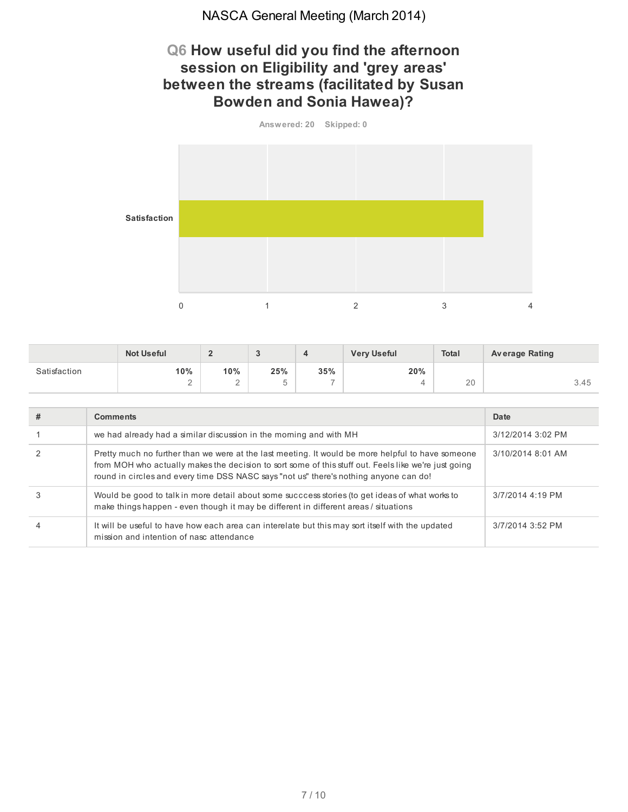## **Q6 How useful did you find the afternoon session on Eligibility and 'grey areas' between the streams (facilitated by Susan Bowden and Sonia Hawea)?**



|              | <b>Not Useful</b> | $\sim$<br>- | n<br> | 4                        | <b>Very Useful</b> | <b>Total</b> | <b>Average Rating</b> |
|--------------|-------------------|-------------|-------|--------------------------|--------------------|--------------|-----------------------|
| Satisfaction | 10%               | 10%         | 25%   | 35%                      | 20%                |              |                       |
|              | -                 | $\sim$<br>- |       | $\overline{\phantom{a}}$ |                    | 20           | 3.45                  |

| # | <b>Comments</b>                                                                                                                                                                                                                                                                                    | Date              |
|---|----------------------------------------------------------------------------------------------------------------------------------------------------------------------------------------------------------------------------------------------------------------------------------------------------|-------------------|
|   | we had already had a similar discussion in the morning and with MH                                                                                                                                                                                                                                 | 3/12/2014 3:02 PM |
|   | Pretty much no further than we were at the last meeting. It would be more helpful to have someone<br>from MOH who actually makes the decision to sort some of this stuff out. Feels like we're just going<br>round in circles and every time DSS NASC says "not us" there's nothing anyone can do! | 3/10/2014 8:01 AM |
|   | Would be good to talk in more detail about some succcess stories (to get ideas of what works to<br>make things happen - even though it may be different in different areas / situations                                                                                                            | 3/7/2014 4:19 PM  |
|   | It will be useful to have how each area can interelate but this may sort itself with the updated<br>mission and intention of nasc attendance                                                                                                                                                       | 3/7/2014 3:52 PM  |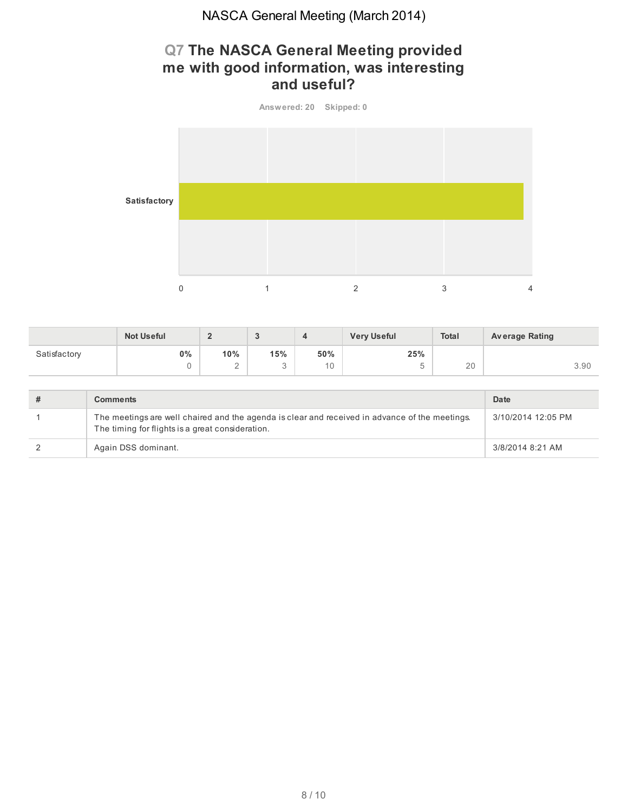# **Q7 The NASCA General Meeting provided me with good information, was interesting and useful?**

**Answered: 20 Skipped: 0 Satisfactory** 0  $1$  2  $3$  4

|              | <b>Not Useful</b> | $\sqrt{2}$<br>-           | ົ<br>◡   | 4         | <b>Very Useful</b> | <b>Total</b> | <b>Average Rating</b> |
|--------------|-------------------|---------------------------|----------|-----------|--------------------|--------------|-----------------------|
| Satisfactory | $0\%$             | 10%<br>$\sim$<br><u>_</u> | 15%<br>u | 50%<br>10 | 25%<br>ь<br>◡      | 20           | 3.90                  |
|              |                   |                           |          |           |                    |              |                       |

| <b>Comments</b>                                                                                                                                    | Date               |
|----------------------------------------------------------------------------------------------------------------------------------------------------|--------------------|
| The meetings are well chaired and the agenda is clear and received in advance of the meetings.<br>The timing for flights is a great consideration. | 3/10/2014 12:05 PM |
| Again DSS dominant.                                                                                                                                | 3/8/2014 8:21 AM   |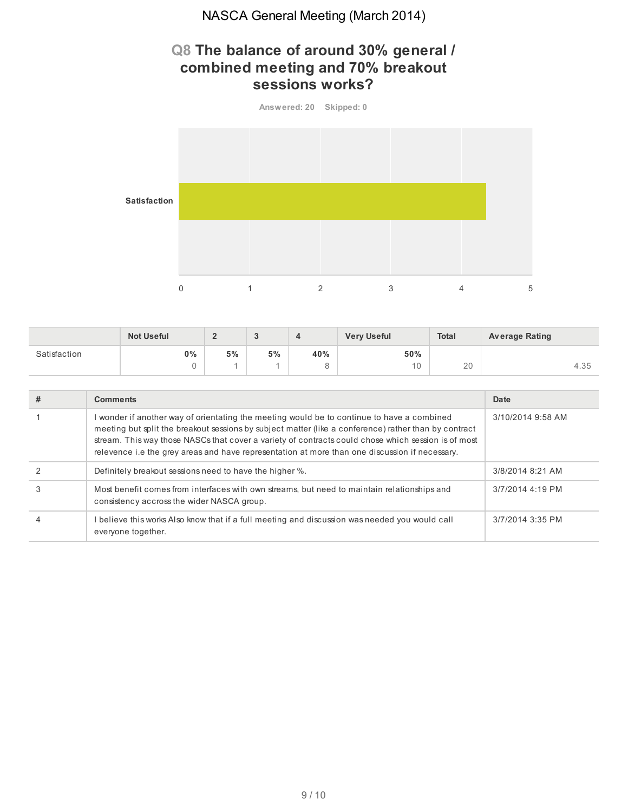# **Q8 The balance of around 30% general / combined meeting and 70% breakout sessions works?**



|              | <b>Not Useful</b> | e  | ັ  |     | <b>Very Useful</b>  | <b>Total</b> | <b>Average Rating</b> |
|--------------|-------------------|----|----|-----|---------------------|--------------|-----------------------|
| Satisfaction | 0%                | 5% | 5% | 40% | 50%                 |              |                       |
|              |                   |    |    |     | 1 <sub>0</sub><br>◡ | 20           | 4.35                  |

| # | <b>Comments</b>                                                                                                                                                                                                                                                                                                                                                                                              | Date              |
|---|--------------------------------------------------------------------------------------------------------------------------------------------------------------------------------------------------------------------------------------------------------------------------------------------------------------------------------------------------------------------------------------------------------------|-------------------|
|   | I wonder if another way of orientating the meeting would be to continue to have a combined<br>meeting but split the breakout sessions by subject matter (like a conference) rather than by contract<br>stream. This way those NASCs that cover a variety of contracts could chose which session is of most<br>relevence i.e the grey areas and have representation at more than one discussion if necessary. | 3/10/2014 9:58 AM |
|   | Definitely breakout sessions need to have the higher %.                                                                                                                                                                                                                                                                                                                                                      | 3/8/2014 8:21 AM  |
| 3 | Most benefit comes from interfaces with own streams, but need to maintain relationships and<br>consistency accross the wider NASCA group.                                                                                                                                                                                                                                                                    | 3/7/2014 4:19 PM  |
| 4 | I believe this works Also know that if a full meeting and discussion was needed you would call<br>everyone together.                                                                                                                                                                                                                                                                                         | 3/7/2014 3:35 PM  |